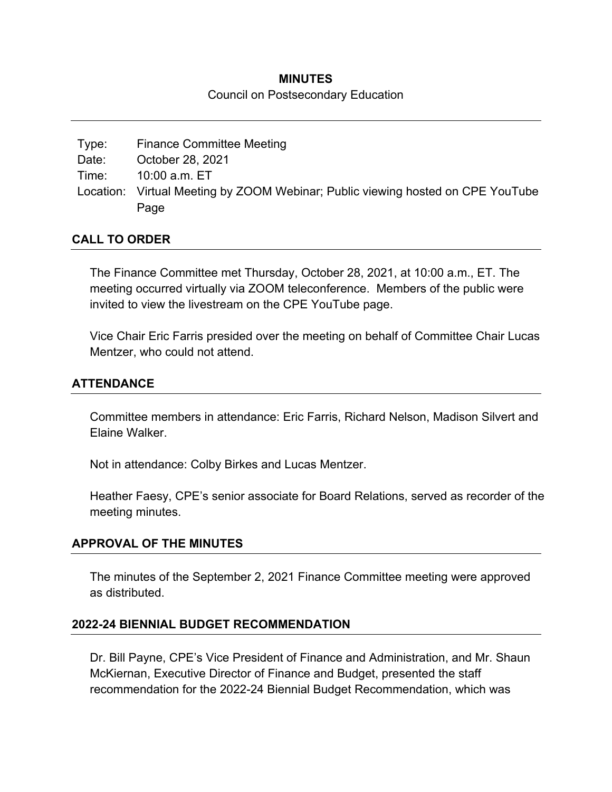#### **MINUTES**

#### Council on Postsecondary Education

| Type: | <b>Finance Committee Meeting</b>                                                |
|-------|---------------------------------------------------------------------------------|
| Date: | October 28, 2021                                                                |
| Time: | 10:00 a.m. ET                                                                   |
|       | Location: Virtual Meeting by ZOOM Webinar; Public viewing hosted on CPE YouTube |
|       | Page                                                                            |

### **CALL TO ORDER**

The Finance Committee met Thursday, October 28, 2021, at 10:00 a.m., ET. The meeting occurred virtually via ZOOM teleconference. Members of the public were invited to view the livestream on the CPE YouTube page.

Vice Chair Eric Farris presided over the meeting on behalf of Committee Chair Lucas Mentzer, who could not attend.

# **ATTENDANCE**

Committee members in attendance: Eric Farris, Richard Nelson, Madison Silvert and Elaine Walker.

Not in attendance: Colby Birkes and Lucas Mentzer.

Heather Faesy, CPE's senior associate for Board Relations, served as recorder of the meeting minutes.

### **APPROVAL OF THE MINUTES**

The minutes of the September 2, 2021 Finance Committee meeting were approved as distributed.

### **2022-24 BIENNIAL BUDGET RECOMMENDATION**

Dr. Bill Payne, CPE's Vice President of Finance and Administration, and Mr. Shaun McKiernan, Executive Director of Finance and Budget, presented the staff recommendation for the 2022-24 Biennial Budget Recommendation, which was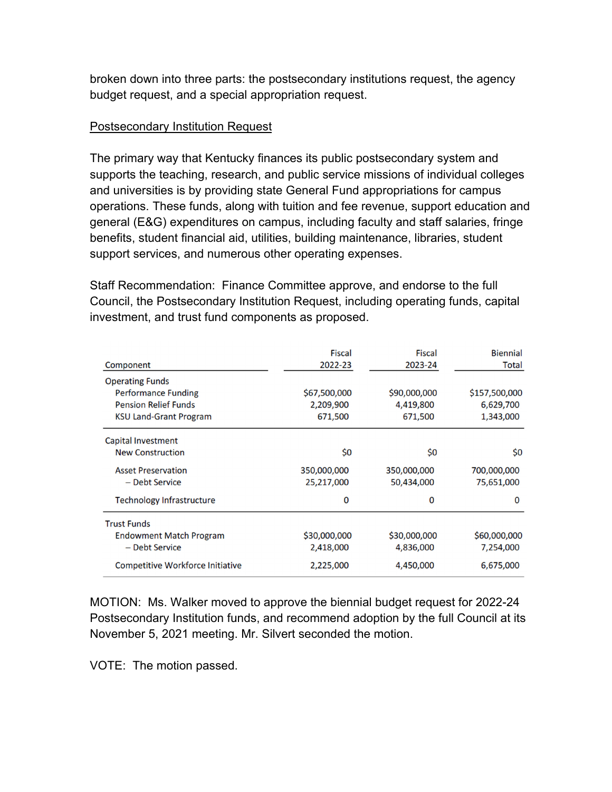broken down into three parts: the postsecondary institutions request, the agency budget request, and a special appropriation request.

# Postsecondary Institution Request

The primary way that Kentucky finances its public postsecondary system and supports the teaching, research, and public service missions of individual colleges and universities is by providing state General Fund appropriations for campus operations. These funds, along with tuition and fee revenue, support education and general (E&G) expenditures on campus, including faculty and staff salaries, fringe benefits, student financial aid, utilities, building maintenance, libraries, student support services, and numerous other operating expenses.

Staff Recommendation: Finance Committee approve, and endorse to the full Council, the Postsecondary Institution Request, including operating funds, capital investment, and trust fund components as proposed.

| Component<br><b>Operating Funds</b>                                                        | <b>Fiscal</b><br>2022-23             | <b>Fiscal</b><br>2023-24             | <b>Biennial</b><br>Total                |
|--------------------------------------------------------------------------------------------|--------------------------------------|--------------------------------------|-----------------------------------------|
| <b>Performance Funding</b><br><b>Pension Relief Funds</b><br><b>KSU Land-Grant Program</b> | \$67,500,000<br>2,209,900<br>671,500 | \$90,000,000<br>4,419,800<br>671,500 | \$157,500,000<br>6,629,700<br>1,343,000 |
| Capital Investment<br><b>New Construction</b>                                              | \$0                                  | \$0                                  | \$0                                     |
| <b>Asset Preservation</b><br>- Debt Service                                                | 350,000,000<br>25,217,000            | 350,000,000<br>50,434,000            | 700,000,000<br>75,651,000               |
| <b>Technology Infrastructure</b>                                                           | 0                                    | 0                                    | $\Omega$                                |
| <b>Trust Funds</b><br><b>Endowment Match Program</b><br>- Debt Service                     | \$30,000,000<br>2,418,000            | \$30,000,000<br>4,836,000            | \$60,000,000<br>7,254,000               |
| <b>Competitive Workforce Initiative</b>                                                    | 2,225,000                            | 4,450,000                            | 6,675,000                               |

MOTION: Ms. Walker moved to approve the biennial budget request for 2022-24 Postsecondary Institution funds, and recommend adoption by the full Council at its November 5, 2021 meeting. Mr. Silvert seconded the motion.

VOTE: The motion passed.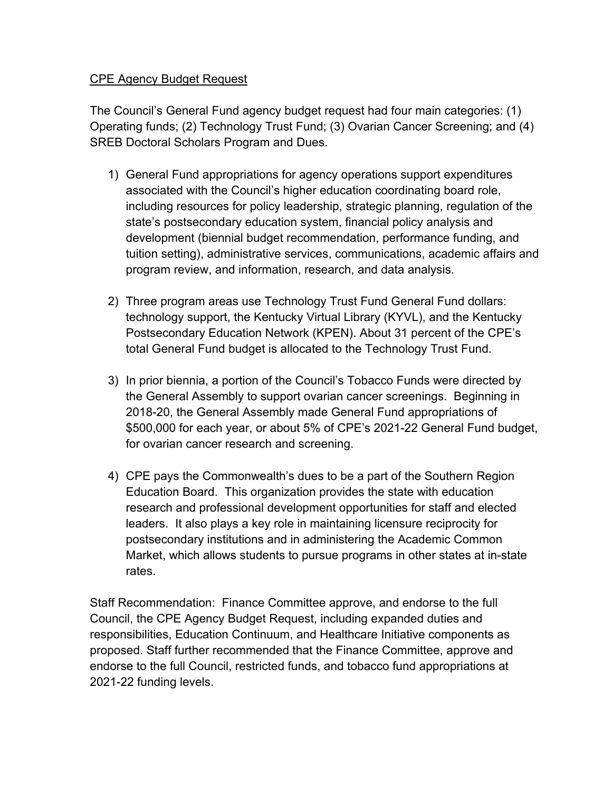## CPE Agency Budget Request

The Council's General Fund agency budget request had four main categories: (1) Operating funds; (2) Technology Trust Fund; (3) Ovarian Cancer Screening; and (4) SREB Doctoral Scholars Program and Dues.

- 1) General Fund appropriations for agency operations support expenditures associated with the Council's higher education coordinating board role, including resources for policy leadership, strategic planning, regulation of the state's postsecondary education system, financial policy analysis and development (biennial budget recommendation, performance funding, and tuition setting), administrative services, communications, academic affairs and program review, and information, research, and data analysis.
- 2) Three program areas use Technology Trust Fund General Fund dollars: technology support, the Kentucky Virtual Library (KYVL), and the Kentucky Postsecondary Education Network (KPEN). About 31 percent of the CPE's total General Fund budget is allocated to the Technology Trust Fund.
- 3) In prior biennia, a portion of the Council's Tobacco Funds were directed by the General Assembly to support ovarian cancer screenings. Beginning in 2018-20, the General Assembly made General Fund appropriations of \$500,000 for each year, or about 5% of CPE's 2021-22 General Fund budget, for ovarian cancer research and screening.
- 4) CPE pays the Commonwealth's dues to be a part of the Southern Region Education Board. This organization provides the state with education research and professional development opportunities for staff and elected leaders. It also plays a key role in maintaining licensure reciprocity for postsecondary institutions and in administering the Academic Common Market, which allows students to pursue programs in other states at in-state rates.

Staff Recommendation: Finance Committee approve, and endorse to the full Council, the CPE Agency Budget Request, including expanded duties and responsibilities, Education Continuum, and Healthcare Initiative components as proposed. Staff further recommended that the Finance Committee, approve and endorse to the full Council, restricted funds, and tobacco fund appropriations at 2021-22 funding levels.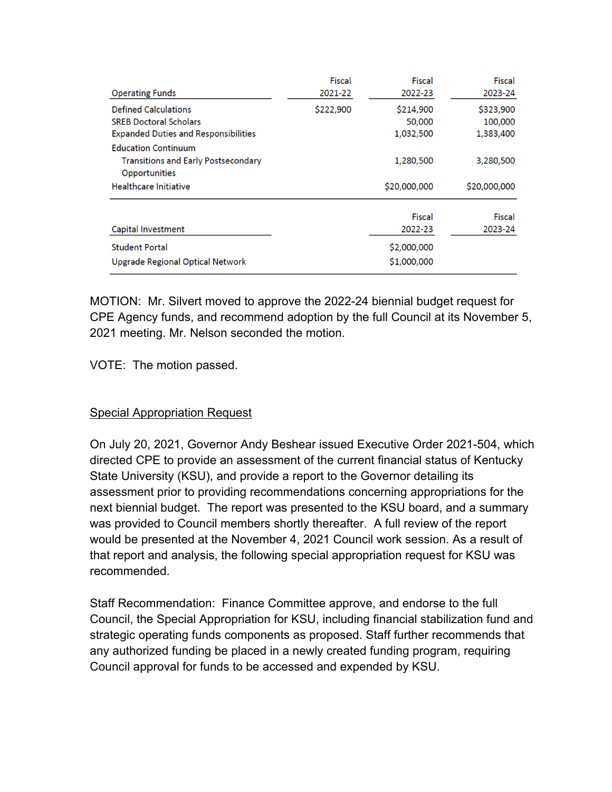| <b>Operating Funds</b>                                                                                      | Fiscal<br>2021-22 | Fiscal<br>2022-23                               | Fiscal<br>2023-24                 |
|-------------------------------------------------------------------------------------------------------------|-------------------|-------------------------------------------------|-----------------------------------|
| <b>Defined Calculations</b><br><b>SREB Doctoral Scholars</b><br><b>Expanded Duties and Responsibilities</b> | \$222,900         | \$214,900<br>50,000<br>1,032,500                | \$323,900<br>100,000<br>1,383,400 |
| <b>Education Continuum</b><br><b>Transitions and Early Postsecondary</b><br>Opportunities                   |                   | 1,280,500                                       | 3,280,500                         |
| Healthcare Initiative                                                                                       |                   | \$20,000,000                                    | \$20,000,000                      |
| Capital Investment<br><b>Student Portal</b><br>Upgrade Regional Optical Network                             |                   | Fiscal<br>2022-23<br>\$2,000,000<br>\$1,000,000 | Fiscal<br>2023-24                 |

MOTION: Mr. Silvert moved to approve the 2022-24 biennial budget request for CPE Agency funds, and recommend adoption by the full Council at its November 5, 2021 meeting. Mr. Nelson seconded the motion.

VOTE: The motion passed.

# Special Appropriation Request

On July 20, 2021, Governor Andy Beshear issued Executive Order 2021-504, which directed CPE to provide an assessment of the current financial status of Kentucky State University (KSU), and provide a report to the Governor detailing its assessment prior to providing recommendations concerning appropriations for the next biennial budget. The report was presented to the KSU board, and a summary was provided to Council members shortly thereafter. A full review of the report would be presented at the November 4, 2021 Council work session. As a result of that report and analysis, the following special appropriation request for KSU was recommended.

Staff Recommendation: Finance Committee approve, and endorse to the full Council, the Special Appropriation for KSU, including financial stabilization fund and strategic operating funds components as proposed. Staff further recommends that any authorized funding be placed in a newly created funding program, requiring Council approval for funds to be accessed and expended by KSU.